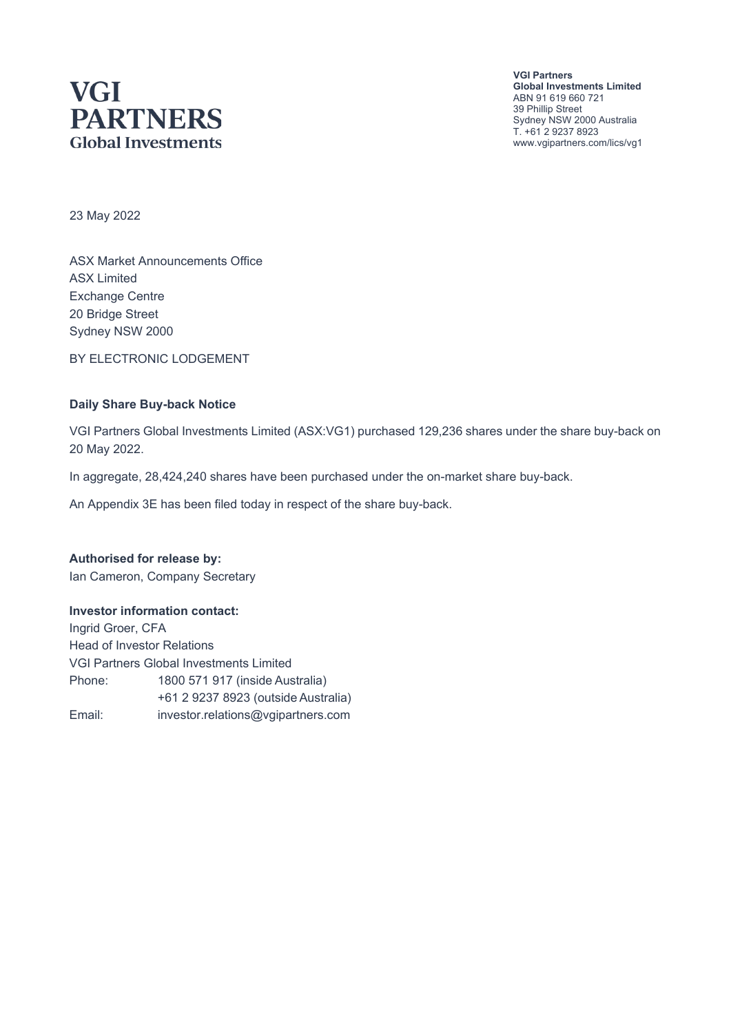# **VGI PARTNERS Global Investments**

**VGI Partners Global Investments Limited** ABN 91 619 660 721 39 Phillip Street Sydney NSW 2000 Australia T. +61 2 9237 8923 www.vgipartners.com/lics/vg1

23 May 2022

ASX Market Announcements Office ASX Limited Exchange Centre 20 Bridge Street Sydney NSW 2000

BY ELECTRONIC LODGEMENT

#### **Daily Share Buy-back Notice**

VGI Partners Global Investments Limited (ASX:VG1) purchased 129,236 shares under the share buy-back on 20 May 2022.

In aggregate, 28,424,240 shares have been purchased under the on-market share buy-back.

An Appendix 3E has been filed today in respect of the share buy-back.

**Authorised for release by:** Ian Cameron, Company Secretary

#### **Investor information contact:**

Ingrid Groer, CFA Head of Investor Relations VGI Partners Global Investments Limited Phone: 1800 571 917 (inside Australia) +61 2 9237 8923 (outside Australia) Email: investor.relations@vgipartners.com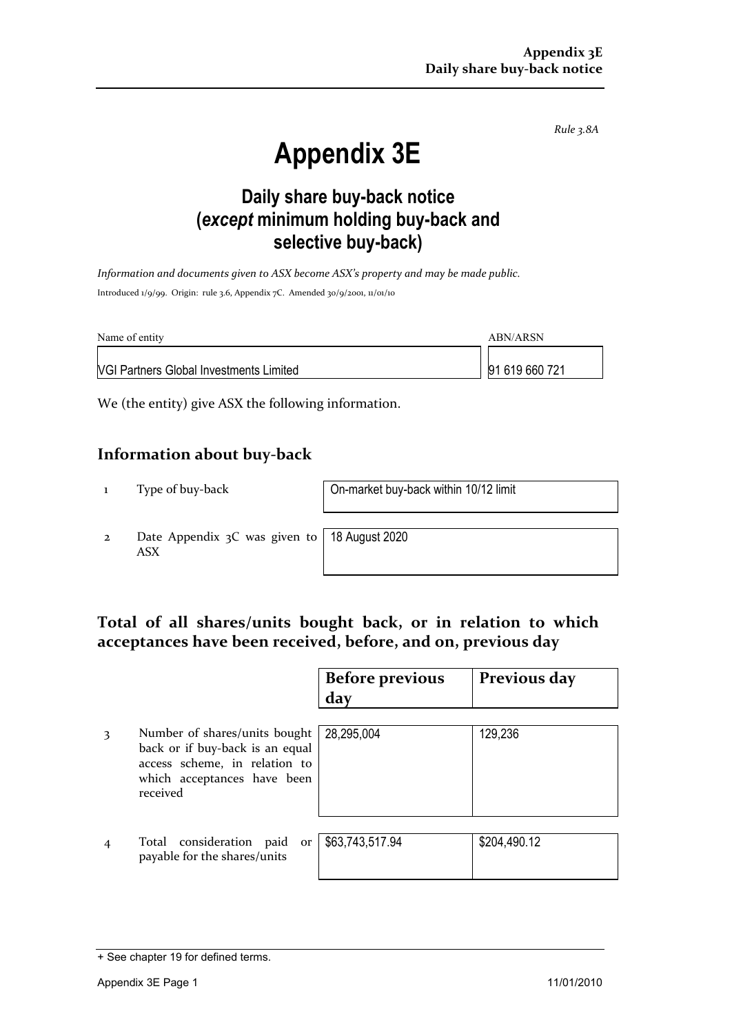*Rule 3.8A*

# **Appendix 3E**

## **Daily share buy-back notice (***except* **minimum holding buy-back and selective buy-back)**

*Information and documents given to ASX become ASX's property and may be made public.* Introduced 1/9/99. Origin: rule 3.6, Appendix 7C. Amended 30/9/2001, 11/01/10

| Name of entity                                 | ABN/ARSN       |
|------------------------------------------------|----------------|
| <b>NGI Partners Global Investments Limited</b> | 91 619 660 721 |

We (the entity) give ASX the following information.

#### **Information about buy-back**

1 Type of buy-back On-market buy-back within 10/12 limit

2 Date Appendix 3C was given to ASX

18 August 2020

### **Total of all shares/units bought back, or in relation to which acceptances have been received, before, and on, previous day**

|   |                                                                                                                                              | <b>Before previous</b><br>day | Previous day |
|---|----------------------------------------------------------------------------------------------------------------------------------------------|-------------------------------|--------------|
| 3 | Number of shares/units bought<br>back or if buy-back is an equal<br>access scheme, in relation to<br>which acceptances have been<br>received | 28,295,004                    | 129,236      |
|   | Total consideration paid<br>or<br>payable for the shares/units                                                                               | \$63,743,517.94               | \$204,490.12 |

<sup>+</sup> See chapter 19 for defined terms.